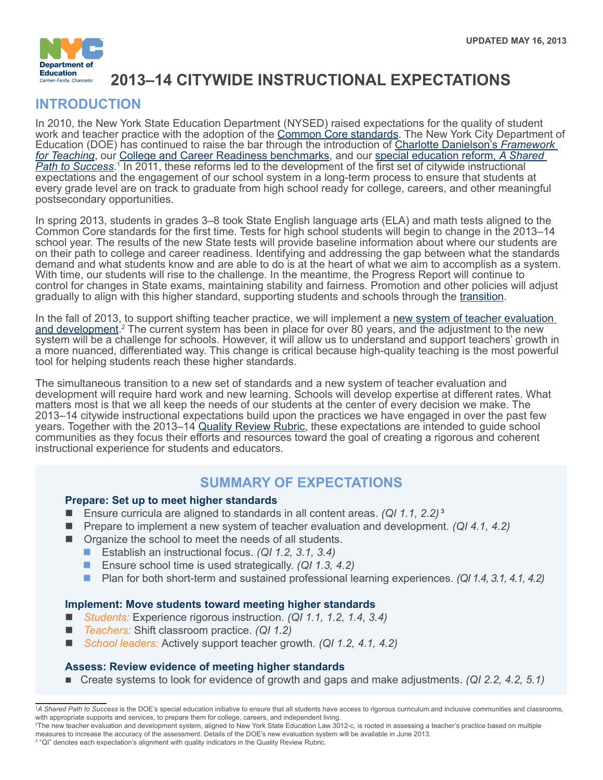

# **2013–14 CITYWIDE INSTRUCTIONAL EXPECTATIONS**

# **INTRODUCTION**

In 2010, the New York State Education Department (NYSED) raised expectations for the quality of student work and teacher practice with the adoption of the <u>Common Core standards</u>. The New York City Department of Education (DOE) has continued to raise the bar through the introduction of [Charlotte Danielson's](http://schools.nyc.gov/Offices/TeacherEffectiveness/For+Educators/Framework/default.htm) *Framework [for Teaching](http://schools.nyc.gov/Offices/TeacherEffectiveness/For+Educators/Framework/default.htm)*, our [College and Career Readiness benchmarks,](http://schools.nyc.gov/Academics/CommonCoreLibrary/About/CCR/default.htm) and our [special education reform,](http://schools.nyc.gov/Academics/SpecialEducation/default.htm) *A Shared [Path to Success](http://schools.nyc.gov/Academics/SpecialEducation/default.htm)*. 1 In 2011, these reforms led to the development of the first set of citywide instructional expectations and the engagement of our school system in a long-term process to ensure that students at every grade level are on track to graduate from high school ready for college, careers, and other meaningful postsecondary opportunities.

In spring 2013, students in grades 3–8 took State English language arts (ELA) and math tests aligned to the Common Core standards for the first time. Tests for high school students will begin to change in the 2013–14 school year. The results of the new State tests will provide baseline information about where our students are on their path to college and career readiness. Identifying and addressing the gap between what the standards demand and what students know and are able to do is at the heart of what we aim to accomplish as a system. With time, our students will rise to the challenge. In the meantime, the Progress Report will continue to control for changes in State exams, maintaining stability and fairness. Promotion and other policies will adjust gradually to align with this higher standard, supporting students and schools through the [transition.](http://schools.nyc.gov/NR/rdonlyres/200CE7DA-35EB-46EE-8061-649C89BFCA08/0/CollegeandCareerReadinessandtheNewStateTestsFINAL.pdf)

In the fall of 2013, to support shifting teacher practice, we will implement a new system of teacher evaluation [and development](http://schools.nyc.gov/offices/teachereffectiveness/default.htm).<sup>2</sup> The current system has been in place for over 80 years, and the adjustment to the new system will be a challenge for schools. However, it will allow us to understand and support teachers' growth in a more nuanced, differentiated way. This change is critical because high-quality teaching is the most powerful tool for helping students reach these higher standards.

The simultaneous transition to a new set of standards and a new system of teacher evaluation and development will require hard work and new learning. Schools will develop expertise at different rates. What matters most is that we all keep the needs of our students at the center of every decision we make. The 2013–14 citywide instructional expectations build upon the practices we have engaged in over the past few years. Together with the 2013–14 [Quality Review Rubric,](http://schools.nyc.gov/Accountability/tools/review/default.htm) these expectations are intended to guide school communities as they focus their efforts and resources toward the goal of creating a rigorous and coherent instructional experience for students and educators.

# **SUMMARY OF EXPECTATIONS**

### **Prepare: Set up to meet higher standards**

- Ensure curricula are aligned to standards in all content areas. *(QI 1.1, 2.2)*<sup>3</sup>
- Prepare to implement a new system of teacher evaluation and development. *(QI 4.1, 4.2)*
- $\blacksquare$  Organize the school to meet the needs of all students.
	- Establish an instructional focus. *(QI 1.2, 3.1, 3.4)*
	- Ensure school time is used strategically. *(QI 1.3, 4.2)*
	- n Plan for both short-term and sustained professional learning experiences. *(QI 1.4, 3.1, 4.1, 4.2)*

#### **Implement: Move students toward meeting higher standards**

- n *Students:* Experience rigorous instruction. *(QI 1.1, 1.2, 1.4, 3.4)*
- *Teachers:* Shift classroom practice. *(QI 1.2)*
- *School leaders:* Actively support teacher growth. *(QI 1.2, 4.1, 4.2)*

### **Assess: Review evidence of meeting higher standards**

■ Create systems to look for evidence of growth and gaps and make adjustments. *(QI 2.2, 4.2, 5.1)* 

<sup>&</sup>lt;sup>1</sup>A Shared Path to Success is the DOE's special education initiative to ensure that all students have access to rigorous curriculum and inclusive communities and classrooms, with appropriate supports and services, to prepare them for college, careers, and independent living.

<sup>2</sup> The new teacher evaluation and development system, aligned to New York State Education Law 3012-c, is rooted in assessing a teacher's practice based on multiple measures to increase the accuracy of the assessment. Details of the DOE's new evaluation system will be available in June 2013.

<sup>&</sup>lt;sup>3</sup> "QI" denotes each expectation's alignment with quality indicators in the Quality Review Rubric.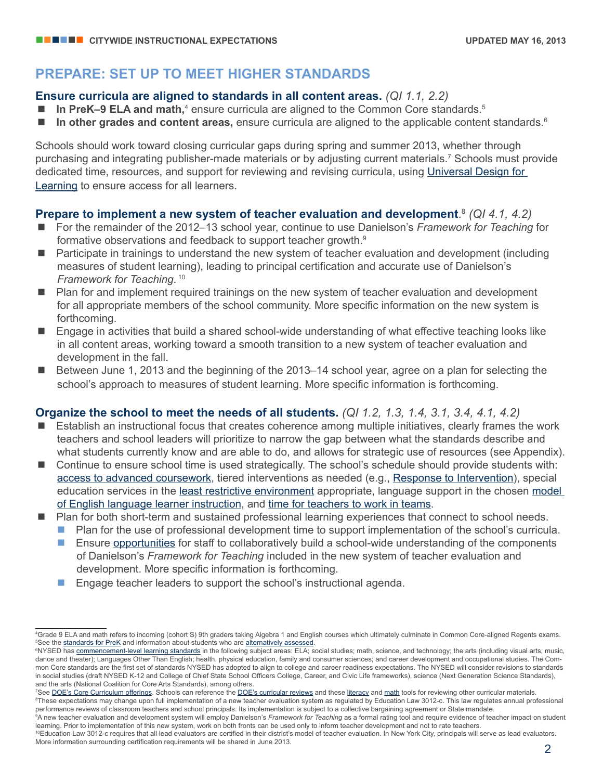## **PREPARE: SET UP TO MEET HIGHER STANDARDS**

### **Ensure curricula are aligned to standards in all content areas.** *(QI 1.1, 2.2)*

- **n In PreK-9 ELA and math,**<sup>4</sup> ensure curricula are aligned to the Common Core standards.<sup>5</sup>
- **n In other grades and content areas,** ensure curricula are aligned to the applicable content standards.<sup>6</sup>

Schools should work toward closing curricular gaps during spring and summer 2013, whether through purchasing and integrating publisher-made materials or by adjusting current materials.7 Schools must provide dedicated time, resources, and support for reviewing and revising curricula, using [Universal Design for](http://schools.nyc.gov/Academics/CommonCoreLibrary/ProfessionalLearning/UDL/default.htm)  [Learning](http://schools.nyc.gov/Academics/CommonCoreLibrary/ProfessionalLearning/UDL/default.htm) to ensure access for all learners.

## **Prepare to implement a new system of teacher evaluation and development**. <sup>8</sup> *(QI 4.1, 4.2)*

- n For the remainder of the 2012–13 school year, continue to use Danielson's *Framework for Teaching* for formative observations and feedback to support teacher growth.<sup>9</sup>
- Participate in trainings to understand the new system of teacher evaluation and development (including measures of student learning), leading to principal certification and accurate use of Danielson's *Framework for Teaching*. <sup>10</sup>
- Plan for and implement required trainings on the new system of teacher evaluation and development for all appropriate members of the school community. More specific information on the new system is forthcoming.
- Engage in activities that build a shared school-wide understanding of what effective teaching looks like in all content areas, working toward a smooth transition to a new system of teacher evaluation and development in the fall.
- Between June 1, 2013 and the beginning of the 2013–14 school year, agree on a plan for selecting the school's approach to measures of student learning. More specific information is forthcoming.

## **Organize the school to meet the needs of all students.** *(QI 1.2, 1.3, 1.4, 3.1, 3.4, 4.1, 4.2)*

- n Establish an instructional focus that creates coherence among multiple initiatives, clearly frames the work teachers and school leaders will prioritize to narrow the gap between what the standards describe and what students currently know and are able to do, and allows for strategic use of resources (see Appendix).
- Continue to ensure school time is used strategically. The school's schedule should provide students with: [access to advanced coursework,](http://schools.nyc.gov/NR/rdonlyres/81DFF28B-EB9E-4DAE-931A-C311CA5B8A7A/0/Overview_AcademicProgramming_091312.pdf) tiered interventions as needed (e.g., [Response to Intervention](http://intranet.nycboe.net/Accountability/APR/RTI/)), special education services in the [least restrictive environment](http://schools.nyc.gov/Academics/SpecialEducation/programs/environment/default.htm) appropriate, language support in the chosen model [of English language learner instruction](http://schools.nyc.gov/Academics/ELL/StandardsCurriculum/default.htm), and [time for teachers to work in teams.](http://intranet.nycboe.net/NR/rdonlyres/27D9D0E9-70ED-4362-B93B-8E94C1CDDE54/0/Acpolicyprogrammingfaq.pdf)
- Plan for both short-term and sustained professional learning experiences that connect to school needs.
	- **n** Plan for the use of professional development time to support implementation of the school's curricula.
	- $\blacksquare$  Ensure [opportunities](http://schools.nyc.gov/Offices/TeacherEffectiveness/For+Educators/default.htm) for staff to collaboratively build a school-wide understanding of the components of Danielson's *Framework for Teaching* included in the new system of teacher evaluation and development. More specific information is forthcoming.
	- $\blacksquare$  Engage teacher leaders to support the school's instructional agenda.

<sup>4</sup> Grade 9 ELA and math refers to incoming (cohort S) 9th graders taking Algebra 1 and English courses which ultimately culminate in Common Core-aligned Regents exams. <sup>5</sup>See the [standards for PreK](http://www.p12.nysed.gov/ciai/common_core_standards/pdfdocs/nyslsprek.pdf) and information about students who are [alternatively assessed](http://schools.nyc.gov/Offices/District75/Departments/Transition/News/201314CIEalternate.htm).

<sup>&</sup>lt;sup>6</sup>NYSED has <u>commencement-level learning standards</u> in the following subject areas: ELA; social studies; math, science, and technology; the arts (including visual arts, music, dance and theater); Languages Other Than English; health, physical education, family and consumer sciences; and career development and occupational studies. The Common Core standards are the first set of standards NYSED has adopted to align to college and career readiness expectations. The NYSED will consider revisions to standards in social studies (draft NYSED K-12 and College of Chief State School Officers College, Career, and Civic Life frameworks), science (Next Generation Science Standards), and the arts (National Coalition for Core Arts Standards), among others.

<sup>&</sup>lt;sup>7</sup>See <u>[DOE's Core Curriculum offerings](http://schools.nyc.gov/Academics/CommonCoreLibrary/About/NYSStandards/default.htm)</u>. Schools can reference the <u>DOE's curricular reviews</u> and these <u>literacy</u> and <u>math</u> tools for reviewing other curricular materials.<br><sup>8</sup>These expectations may change upon full impl

<sup>&</sup>lt;sup>8</sup>These expectations may change upon full implementation of a new teacher evaluation system as regulated by Education Law 3012-c. This law regulates annual professional performance reviews of classroom teachers and school principals. Its implementation is subject to a collective bargaining agreement or State mandate.

<sup>9</sup> A new teacher evaluation and development system will employ Danielson's *Framework for Teaching* as a formal rating tool and require evidence of teacher impact on student learning. Prior to implementation of this new system, work on both fronts can be used only to inform teacher development and not to rate teachers.

<sup>&</sup>lt;sup>10</sup>Education Law 3012-c requires that all lead evaluators are certified in their district's model of teacher evaluation. In New York City, principals will serve as lead evaluators. More information surrounding certification requirements will be shared in June 2013.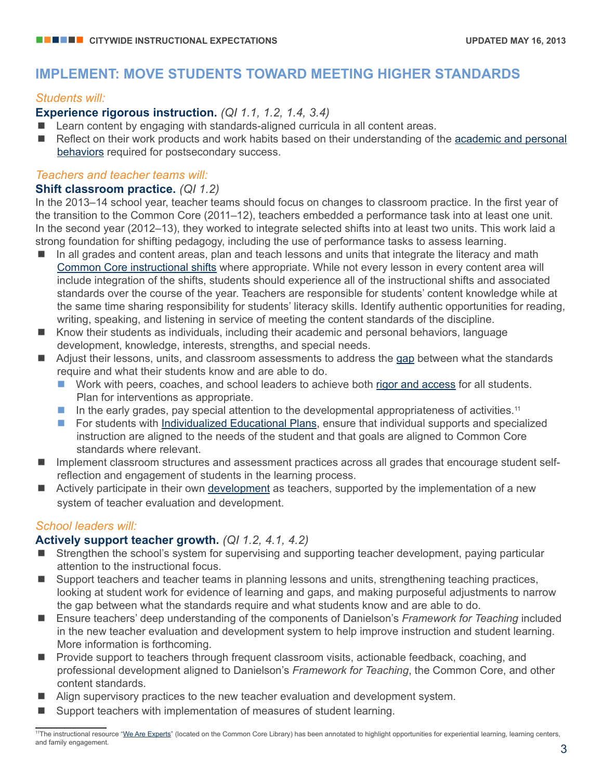# **IMPLEMENT: MOVE STUDENTS TOWARD MEETING HIGHER STANDARDS**

### *Students will:*

## **Experience rigorous instruction.** *(QI 1.1, 1.2, 1.4, 3.4)*

- Learn content by engaging with standards-aligned curricula in all content areas.
- n Reflect on their work products and work habits based on their understanding of the academic and personal [behaviors](http://schools.nyc.gov/NR/rdonlyres/63C9A241-AB3F-4108-87AD-048D8CCAECA1/0/BehaviorsExamples.pdf) required for postsecondary success.

## *Teachers and teacher teams will:*

## **Shift classroom practice.** *(QI 1.2)*

In the 2013–14 school year, teacher teams should focus on changes to classroom practice. In the first year of the transition to the Common Core (2011–12), teachers embedded a performance task into at least one unit. In the second year (2012–13), they worked to integrate selected shifts into at least two units. This work laid a strong foundation for shifting pedagogy, including the use of performance tasks to assess learning.

- In all grades and content areas, plan and teach lessons and units that integrate the literacy and math [Common Core instructional shifts](http://schools.nyc.gov/Academics/CommonCoreLibrary/About/InstructionalShifts/default.htm) where appropriate. While not every lesson in every content area will include integration of the shifts, students should experience all of the instructional shifts and associated standards over the course of the year. Teachers are responsible for students' content knowledge while at the same time sharing responsibility for students' literacy skills. Identify authentic opportunities for reading, writing, speaking, and listening in service of meeting the content standards of the discipline.
- $\blacksquare$  Know their students as individuals, including their academic and personal behaviors, language development, knowledge, interests, strengths, and special needs.
- Adjust their lessons, units, and classroom assessments to address the [gap](http://schools.nyc.gov/NR/rdonlyres/7518779E-2AB3-426C-88C6-125CC04012F4/0/StudentThinking_SurfacingGaps_Activity.docx) between what the standards require and what their students know and are able to do.
	- Work with peers, coaches, and school leaders to achieve both [rigor and access](http://nichcy.org/schools-administrators/commoncore) for all students. Plan for interventions as appropriate.
	- In the early grades, pay special attention to the developmental appropriateness of activities.<sup>11</sup>
	- **n** For students with [Individualized Educational Plans,](http://www.p12.nysed.gov/specialed/formsnotices/IEP/home.html) ensure that individual supports and specialized instruction are aligned to the needs of the student and that goals are aligned to Common Core standards where relevant.
- Implement classroom structures and assessment practices across all grades that encourage student selfreflection and engagement of students in the learning process.
- Actively participate in their own [development](http://schools.nyc.gov/Offices/TeacherEffectiveness/For+Educators/Prof_Res_ARIS_Learn/default.htm) as teachers, supported by the implementation of a new system of teacher evaluation and development.

## *School leaders will:*

## **Actively support teacher growth.** *(QI 1.2, 4.1, 4.2)*

- Strengthen the school's system for supervising and supporting teacher development, paying particular attention to the instructional focus.
- Support teachers and teacher teams in planning lessons and units, strengthening teaching practices, looking at student work for evidence of learning and gaps, and making purposeful adjustments to narrow the gap between what the standards require and what students know and are able to do.
- Ensure teachers' deep understanding of the components of Danielson's *Framework for Teaching* included in the new teacher evaluation and development system to help improve instruction and student learning. More information is forthcoming.
- **n** Provide support to teachers through frequent classroom visits, actionable feedback, coaching, and professional development aligned to Danielson's *Framework for Teaching*, the Common Core, and other content standards.
- $\blacksquare$  Align supervisory practices to the new teacher evaluation and development system.
- Support teachers with implementation of measures of student learning.

<sup>&</sup>lt;sup>11</sup>The instructional resource ["We Are Experts"](http://schools.nyc.gov/NR/rdonlyres/95A48E33-B007-4509-9056-8538A1583DAF/0/NYCDOE_K_LiteracyScience_WeAreExperts_Final.pdf) (located on the Common Core Library) has been annotated to highlight opportunities for experiential learning, learning centers, and family engagement.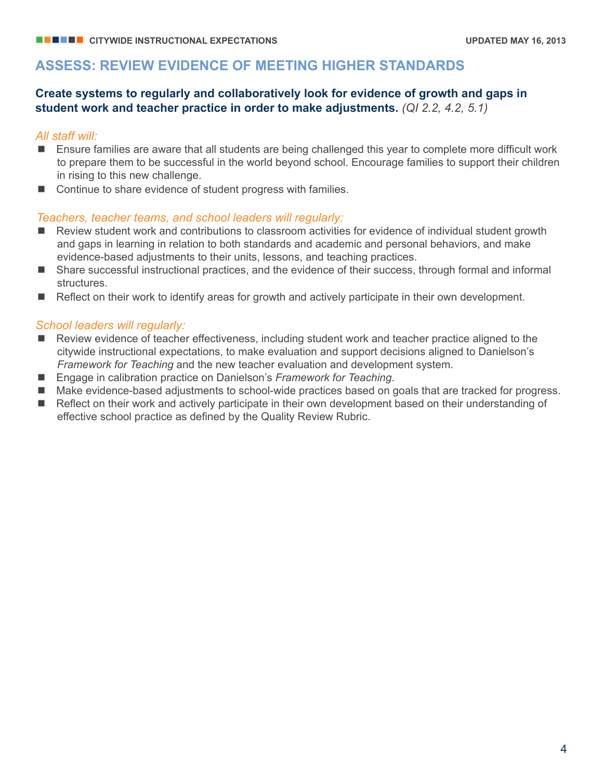## **ASSESS: REVIEW EVIDENCE OF MEETING HIGHER STANDARDS**

## **Create systems to regularly and collaboratively look for evidence of growth and gaps in student work and teacher practice in order to make adjustments.** *(QI 2.2, 4.2, 5.1)*

### *All staff will:*

- Ensure families are aware that all students are being challenged this year to complete more difficult work to prepare them to be successful in the world beyond school. Encourage families to support their children in rising to this new challenge.
- Continue to share evidence of student progress with families.

#### *Teachers, teacher teams, and school leaders will regularly:*

- $\blacksquare$  Review student work and contributions to classroom activities for evidence of individual student growth and gaps in learning in relation to both standards and academic and personal behaviors, and make evidence-based adjustments to their units, lessons, and teaching practices.
- Share successful instructional practices, and the evidence of their success, through formal and informal structures.
- $\blacksquare$  Reflect on their work to identify areas for growth and actively participate in their own development.

#### *School leaders will regularly:*

- Review evidence of teacher effectiveness, including student work and teacher practice aligned to the citywide instructional expectations, to make evaluation and support decisions aligned to Danielson's *Framework for Teaching* and the new teacher evaluation and development system.
- Engage in calibration practice on Danielson's *Framework for Teaching*.
- Make evidence-based adjustments to school-wide practices based on goals that are tracked for progress.
- n Reflect on their work and actively participate in their own development based on their understanding of effective school practice as defined by the Quality Review Rubric.